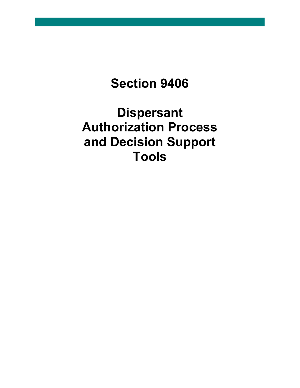**Section 9406**

**Dispersant Authorization Process and Decision Support Tools**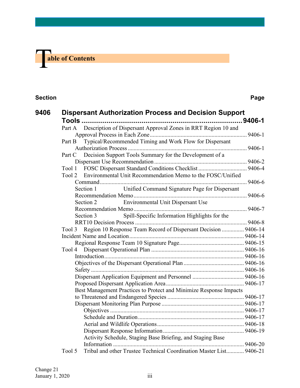# **The able of Contents**

#### **Section Page**

| 9406 | <b>Dispersant Authorization Process and Decision Support</b>                                                                            |  |
|------|-----------------------------------------------------------------------------------------------------------------------------------------|--|
|      | Part A Description of Dispersant Approval Zones in RRT Region 10 and                                                                    |  |
|      | Typical/Recommended Timing and Work Flow for Dispersant<br>Part B                                                                       |  |
|      | Part C Decision Support Tools Summary for the Development of a                                                                          |  |
|      | FOSC Dispersant Standard Conditions Checklist  9406-4<br>Tool 1<br>Environmental Unit Recommendation Memo to the FOSC/Unified<br>Tool 2 |  |
|      | Unified Command Signature Page for Dispersant<br>Section 1                                                                              |  |
|      | Environmental Unit Dispersant Use<br>Section 2                                                                                          |  |
|      | Spill-Specific Information Highlights for the<br>Section 3                                                                              |  |
|      | Region 10 Response Team Record of Dispersant Decision  9406-14<br>Tool 3                                                                |  |
|      |                                                                                                                                         |  |
|      |                                                                                                                                         |  |
|      |                                                                                                                                         |  |
|      |                                                                                                                                         |  |
|      | Best Management Practices to Protect and Minimize Response Impacts                                                                      |  |
|      |                                                                                                                                         |  |
|      |                                                                                                                                         |  |
|      | Activity Schedule, Staging Base Briefing, and Staging Base                                                                              |  |
|      | Tribal and other Trustee Technical Coordination Master List 9406-21<br>Tool 5                                                           |  |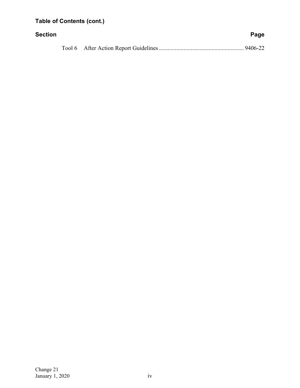## **Table of Contents (cont.)**

| Section |  | Page |
|---------|--|------|
|         |  |      |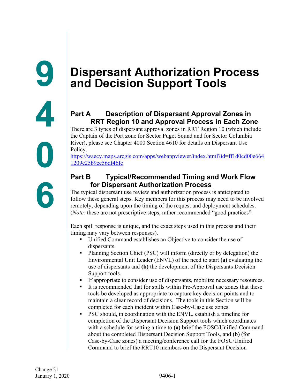## **Part A Description of Dispersant Approval Zones in RRT Region 10 and Approval Process in Each Zone**

There are 3 types of dispersant approval zones in RRT Region 10 (which include the Captain of the Port zone for Sector Puget Sound and for Sector Columbia River), please see Chapter 4000 Section 4610 for details on Dispersant Use Policy.

[https://waecy.maps.arcgis.com/apps/webappviewer/index.html?id=ff1d0cd00e664](https://waecy.maps.arcgis.com/apps/webappviewer/index.html?id=ff1d0cd00e6641209e25b9ee56df46fc) [1209e25b9ee56df46fc](https://waecy.maps.arcgis.com/apps/webappviewer/index.html?id=ff1d0cd00e6641209e25b9ee56df46fc)

## **Part B Typical/Recommended Timing and Work Flow for Dispersant Authorization Process**

The typical dispersant use review and authorization process is anticipated to follow these general steps. Key members for this process may need to be involved remotely, depending upon the timing of the request and deployment schedules. (*Note:* these are not prescriptive steps, rather recommended "good practices".

Each spill response is unique, and the exact steps used in this process and their timing may vary between responses).

- Unified Command establishes an Objective to consider the use of dispersants.
- Planning Section Chief (PSC) will inform (directly or by delegation) the Environmental Unit Leader (ENVL) of the need to start **(a)** evaluating the use of dispersants and **(b)** the development of the Dispersants Decision Support tools.
- If appropriate to consider use of dispersants, mobilize necessary resources.
- It is recommended that for spills within Pre-Approval use zones that these tools be developed as appropriate to capture key decision points and to maintain a clear record of decisions. The tools in this Section will be completed for each incident within Case-by-Case use zones.
- PSC should, in coordination with the ENVL, establish a timeline for completion of the Dispersant Decision Support tools which coordinates with a schedule for setting a time to **(a)** brief the FOSC/Unified Command about the completed Dispersant Decision Support Tools, and **(b)** (for Case-by-Case zones) a meeting/conference call for the FOSC/Unified Command to brief the RRT10 members on the Dispersant Decision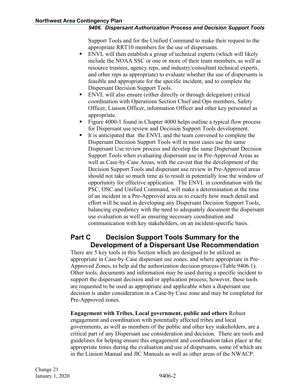Support Tools and for the Unified Command to make their request to the appropriate RRT10 members for the use of dispersants.

- ENVL will then establish a group of technical experts (which will likely include the NOAA SSC or one or more of their team members, as well as resource trustees, agency reps, and industry/consultant technical experts, and other reps as appropriate) to evaluate whether the use of dispersants is feasible and appropriate for the specific incident, and to complete the Dispersant Decision Support Tools.
- ENVL will also ensure (either directly or through delegation) critical coordination with Operations Section Chief and Ops members, Safety Officer, Liaison Officer, information Officer and other key personnel as appropriate.
- Figure 4000-1 found in Chapter 4000 helps outline a typical flow process for Dispersant use review and Decision Support Tools development.
- It is anticipated that the ENVL and the team convened to complete the Dispersant Decision Support Tools will in most cases use the same Dispersant Use review process and develop the same Dispersant Decision Support Tools when evaluating dispersant use in Pre-Approved Areas as well as Case-by-Case Areas, with the caveat that the development of the Decision Support Tools and dispersant use review in Pre-Approved areas should not take so much time as to result in potentially lose the window of opportunity for effective application. The ENVL in coordination with the PSC, OSC and Unified Command, will make a determination at the time of an incident in a Pre-Approved area as to exactly how much detail and effort will be used in developing any Dispersant Decision Support Tools, balancing expediency with the need to adequately document the dispersant use evaluation as well as ensuring necessary coordination and communication with key stakeholders, on an incident-specific basis.

## **Part C Decision Support Tools Summary for the Development of a Dispersant Use Recommendation**

There are 5 key tools in this Section which are designed to be utilized as appropriate in Case-by-Case dispersant use zones, and where appropriate in Pre-Approved Zones, to help aid the authorization decision process (Table 9406.1). Other tools, documents and information may be used during a specific incident to support the dispersant decision and/or application process; however, these tools are requested to be used as appropriate and applicable when a dispersant use decision is under consideration in a Case-by Case zone and may be completed for Pre-Approved zones.

**Engagement with Tribes, Local government, public and others** Robust engagement and coordination with potentially affected tribes and local governments, as well as members of the public and other key stakeholders, are a critical part of any Dispersant use consideration and decision. There are tools and guidelines for helping ensure this engagement and coordination takes place at the appropriate times during the evaluation and use of dispersants, some of which are in the Liaison Manual and JIC Manuals as well as other areas of the NWACP.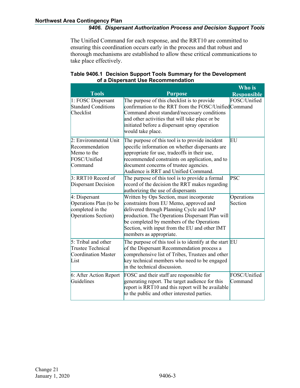The Unified Command for each response, and the RRT10 are committed to ensuring this coordination occurs early in the process and that robust and thorough mechanisms are established to allow these critical communications to take place effectively.

|                                                                                    |                                                                                                                                                                                                                                                                                                            | Who is                  |
|------------------------------------------------------------------------------------|------------------------------------------------------------------------------------------------------------------------------------------------------------------------------------------------------------------------------------------------------------------------------------------------------------|-------------------------|
| <b>Tools</b>                                                                       | <b>Purpose</b>                                                                                                                                                                                                                                                                                             | <b>Responsible</b>      |
| 1: FOSC Dispersant<br><b>Standard Conditions</b><br>Checklist                      | The purpose of this checklist is to provide<br>confirmation to the RRT from the FOSC/UnifiedCommand<br>Command about standard/necessary conditions<br>and other activities that will take place or be<br>initiated before a dispersant spray operation<br>would take place.                                | FOSC/Unified            |
| 2: Environmental Unit<br>Recommendation<br>Memo to the<br>FOSC/Unified<br>Command  | The purpose of this tool is to provide incident<br>specific information on whether dispersants are<br>appropriate for use, tradeoffs in their use,<br>recommended constraints on application, and to<br>document concerns of trustee agencies.<br>Audience is RRT and Unified Command.                     | EU                      |
| 3: RRT10 Record of<br>Dispersant Decision                                          | The purpose of this tool is to provide a formal<br>record of the decision the RRT makes regarding<br>authorizing the use of dispersants                                                                                                                                                                    | <b>PSC</b>              |
| 4: Dispersant<br>Operations Plan (to be<br>completed in the<br>Operations Section) | Written by Ops Section, must incorporate<br>constraints from EU Memo, approved and<br>delivered through Planning Cycle and IAP<br>production. The Operations Dispersant Plan will<br>be completed by members of the Operations<br>Section, with input from the EU and other IMT<br>members as appropriate. | Operations<br>Section   |
| $5:$ Tribal and other<br><b>Trustee Technical</b><br>Coordination Master<br>List   | The purpose of this tool is to identify at the start $ EU $<br>of the Dispersant Recommendation process a<br>comprehensive list of Tribes, Trustees and other<br>key technical members who need to be engaged<br>in the technical discussion.                                                              |                         |
| 6: After Action Report<br>Guidelines                                               | FOSC and their staff are responsible for<br>generating report. The target audience for this<br>report is RRT10 and this report will be available<br>to the public and other interested parties.                                                                                                            | FOSC/Unified<br>Command |

#### **Table 9406.1 Decision Support Tools Summary for the Development of a Dispersant Use Recommendation**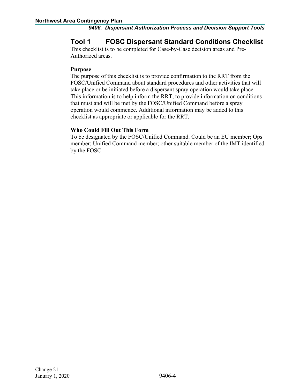## **Tool 1 FOSC Dispersant Standard Conditions Checklist**

This checklist is to be completed for Case-by-Case decision areas and Pre-Authorized areas.

#### **Purpose**

The purpose of this checklist is to provide confirmation to the RRT from the FOSC/Unified Command about standard procedures and other activities that will take place or be initiated before a dispersant spray operation would take place. This information is to help inform the RRT, to provide information on conditions that must and will be met by the FOSC/Unified Command before a spray operation would commence. Additional information may be added to this checklist as appropriate or applicable for the RRT.

#### **Who Could Fill Out This Form**

To be designated by the FOSC/Unified Command. Could be an EU member; Ops member; Unified Command member; other suitable member of the IMT identified by the FOSC.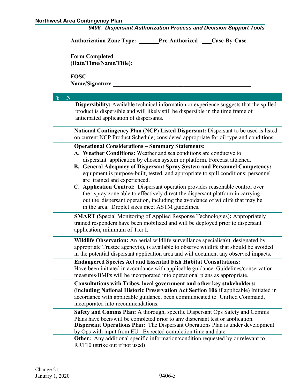|  |  | 9406. Dispersant Authorization Process and Decision Support Tools |  |  |  |  |
|--|--|-------------------------------------------------------------------|--|--|--|--|
|--|--|-------------------------------------------------------------------|--|--|--|--|

**Authorization Zone Type: \_ Pre-Authorized Case-By-Case**

**Form Completed (Date/Time/Name/Title):\_\_\_\_\_\_\_\_\_\_\_\_\_\_\_\_\_\_\_\_\_\_\_\_\_\_\_\_\_\_\_\_\_**

**FOSC** 

**Name/Signature**:\_\_\_\_\_\_\_\_\_\_\_\_\_\_\_\_\_\_\_\_\_\_\_\_\_\_\_\_\_\_\_\_\_\_\_\_\_\_\_\_\_\_\_\_\_\_\_

| $\bar{\mathbf{Y}}$ | N |                                                                                                                                                                                                                                                                                                                                                                                                                                                                                                                                                                                                                                                                                                                   |
|--------------------|---|-------------------------------------------------------------------------------------------------------------------------------------------------------------------------------------------------------------------------------------------------------------------------------------------------------------------------------------------------------------------------------------------------------------------------------------------------------------------------------------------------------------------------------------------------------------------------------------------------------------------------------------------------------------------------------------------------------------------|
|                    |   | Dispersibility: Available technical information or experience suggests that the spilled<br>product is dispersible and will likely still be dispersible in the time frame of<br>anticipated application of dispersants.                                                                                                                                                                                                                                                                                                                                                                                                                                                                                            |
|                    |   | National Contingency Plan (NCP) Listed Dispersant: Dispersant to be used is listed<br>on current NCP Product Schedule; considered appropriate for oil type and conditions.                                                                                                                                                                                                                                                                                                                                                                                                                                                                                                                                        |
|                    |   | <b>Operational Considerations - Summary Statements:</b><br>A. Weather Conditions: Weather and sea conditions are conducive to<br>dispersant application by chosen system or platform. Forecast attached.<br>B. General Adequacy of Dispersant Spray System and Personnel Competency:<br>equipment is purpose-built, tested, and appropriate to spill conditions; personnel<br>are trained and experienced.<br>C. Application Control: Dispersant operation provides reasonable control over<br>the spray zone able to effectively direct the dispersant platform in carrying<br>out the dispersant operation, including the avoidance of wildlife that may be<br>in the area. Droplet sizes meet ASTM guidelines. |
|                    |   | <b>SMART</b> (Special Monitoring of Applied Response Technologies): Appropriately<br>trained responders have been mobilized and will be deployed prior to dispersant<br>application, minimum of Tier I.                                                                                                                                                                                                                                                                                                                                                                                                                                                                                                           |
|                    |   | Wildlife Observation: An aerial wildlife surveillance specialist(s), designated by<br>appropriate Trustee agency $(s)$ , is available to observe wildlife that should be avoided<br>in the potential dispersant application area and will document any observed impacts.                                                                                                                                                                                                                                                                                                                                                                                                                                          |
|                    |   | <b>Endangered Species Act and Essential Fish Habitat Consultations:</b><br>Have been initiated in accordance with applicable guidance. Guidelines/conservation<br>measures/BMPs will be incorporated into operational plans as appropriate.                                                                                                                                                                                                                                                                                                                                                                                                                                                                       |
|                    |   | Consultations with Tribes, local government and other key stakeholders:<br>(including National Historic Preservation Act Section 106 if applicable) Initiated in<br>accordance with applicable guidance, been communicated to Unified Command,<br>incorporated into recommendations.                                                                                                                                                                                                                                                                                                                                                                                                                              |
|                    |   | Safety and Comms Plan: A thorough, specific Dispersant Ops Safety and Comms<br>Plans have been/will be completed prior to any dispersant test or application.                                                                                                                                                                                                                                                                                                                                                                                                                                                                                                                                                     |
|                    |   | Dispersant Operations Plan: The Dispersant Operations Plan is under development<br>by Ops with input from EU. Expected completion time and date.                                                                                                                                                                                                                                                                                                                                                                                                                                                                                                                                                                  |
|                    |   | Other: Any additional specific information/condition requested by or relevant to<br>RRT10 (strike out if not used)                                                                                                                                                                                                                                                                                                                                                                                                                                                                                                                                                                                                |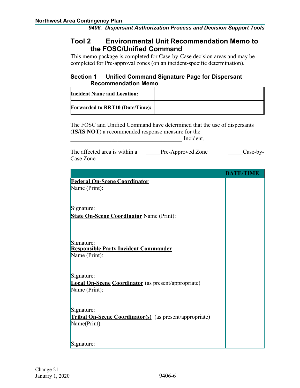## **Tool 2 Environmental Unit Recommendation Memo to the FOSC/Unified Command**

This memo package is completed for Case-by-Case decision areas and may be completed for Pre-approval zones (on an incident-specific determination).

#### **Section 1 Unified Command Signature Page for Dispersant Recommendation Memo**

| <b>Incident Name and Location:</b>     |  |
|----------------------------------------|--|
| <b>Forwarded to RRT10 (Date/Time):</b> |  |

The FOSC and Unified Command have determined that the use of dispersants (**IS/IS NOT**) a recommended response measure for the

Incident.

| The affected area is within a | Pre-Approved Zone | $Case-by-$ |
|-------------------------------|-------------------|------------|
| Case Zone                     |                   |            |

|                                                                | <b>DATE/TIME</b> |
|----------------------------------------------------------------|------------------|
| <b>Federal On-Scene Coordinator</b>                            |                  |
| Name (Print):                                                  |                  |
|                                                                |                  |
|                                                                |                  |
| Signature:                                                     |                  |
| <b>State On-Scene Coordinator Name (Print):</b>                |                  |
|                                                                |                  |
|                                                                |                  |
|                                                                |                  |
| Signature:<br><b>Responsible Party Incident Commander</b>      |                  |
|                                                                |                  |
| Name (Print):                                                  |                  |
|                                                                |                  |
| Signature:                                                     |                  |
| <b>Local On-Scene Coordinator</b> (as present/appropriate)     |                  |
| Name (Print):                                                  |                  |
|                                                                |                  |
|                                                                |                  |
| Signature:                                                     |                  |
| <b>Tribal On-Scene Coordinator(s)</b> (as present/appropriate) |                  |
| Name(Print):                                                   |                  |
|                                                                |                  |
|                                                                |                  |
| Signature:                                                     |                  |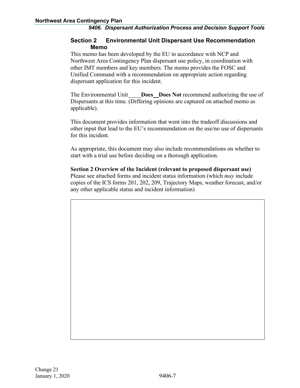#### **Section 2 Environmental Unit Dispersant Use Recommendation Memo**

This memo has been developed by the EU in accordance with NCP and Northwest Area Contingency Plan dispersant use policy, in coordination with other IMT members and key members. The memo provides the FOSC and Unified Command with a recommendation on appropriate action regarding dispersant application for this incident.

The Environmental Unit **Does Does Not** recommend authorizing the use of Dispersants at this time. (Differing opinions are captured on attached memo as applicable).

This document provides information that went into the tradeoff discussions and other input that lead to the EU's recommendation on the use/no use of dispersants for this incident.

As appropriate, this document may also include recommendations on whether to start with a trial use before deciding on a thorough application.

#### **Section 2 Overview of the Incident (relevant to proposed dispersant use)** Please see attached forms and incident status information (which *may* include copies of the ICS forms 201, 202, 209, Trajectory Maps, weather forecast, and/or any other applicable status and incident information)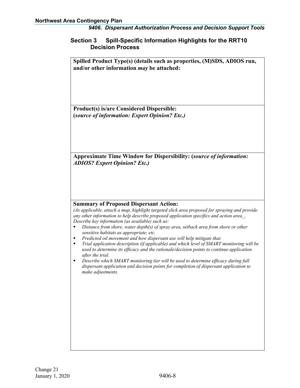#### **Section 3 Spill-Specific Information Highlights for the RRT10 Decision Process**

**Spilled Product Type(s) (details such as properties, (M)SDS, ADIOS run, and/or other information** *may* **be attached:**

**Product(s) is/are Considered Dispersible: (***source of information: Expert Opinion? Etc.)*

**Approximate Time Window for Dispersibility: (***source of information: ADIOS? Expert Opinion? Etc.)*

#### **Summary of Proposed Dispersant Action:**

*(As applicable, attach a map, highlight targeted slick area proposed for spraying and provide any other information to help describe proposed application specifics and action area\_. Describe key information (as available) such as:*

- *Distance from shore, water depth(s) of spray area, setback area from shore or other sensitive habitats as appropriate, etc.*
- *Predicted oil movement and how dispersant use will help mitigate that.*
- *Trial application description (if applicable) and which level of SMART monitoring will be used to determine its efficacy and the rationale/decision points to continue application after the trial.*
- *Describe which SMART monitoring tier will be used to determine efficacy during full dispersant application and decision points for completion of dispersant application to make adjustments.*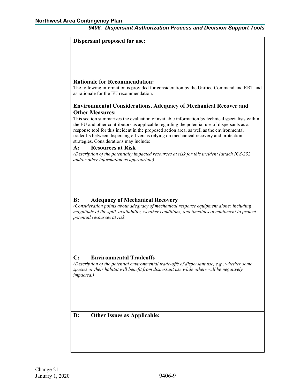#### **Dispersant proposed for use:**

#### **Rationale for Recommendation:**

The following information is provided for consideration by the Unified Command and RRT and as rationale for the EU recommendation.

#### **Environmental Considerations, Adequacy of Mechanical Recover and Other Measures:**

This section summarizes the evaluation of available information by technical specialists within the EU and other contributors as applicable regarding the potential use of dispersants as a response tool for this incident in the proposed action area, as well as the environmental tradeoffs between dispersing oil versus relying on mechanical recovery and protection strategies. Considerations may include:

#### **A: Resources at Risk**

*(Description of the potentially impacted resources at risk for this incident (attach ICS-232 and/or other information as appropriate)*

#### **B: Adequacy of Mechanical Recovery**

*(Consideration points about adequacy of mechanical response equipment alone: including magnitude of the spill, availability, weather conditions, and timelines of equipment to protect potential resources at risk.*

#### **C: Environmental Tradeoffs**

*(Description of the potential environmental trade-offs of dispersant use, e.g., whether some species or their habitat will benefit from dispersant use while others will be negatively impacted.)*

#### **D: Other Issues as Applicable:**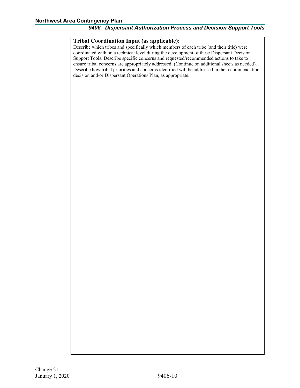#### **Tribal Coordination Input (as applicable):**

Describe which tribes and specifically which members of each tribe (and their title) were coordinated with on a technical level during the development of these Dispersant Decision Support Tools. Describe specific concerns and requested/recommended actions to take to ensure tribal concerns are appropriately addressed. (Continue on additional sheets as needed). Describe how tribal priorities and concerns identified will be addressed in the recommendation decision and/or Dispersant Operations Plan, as appropriate.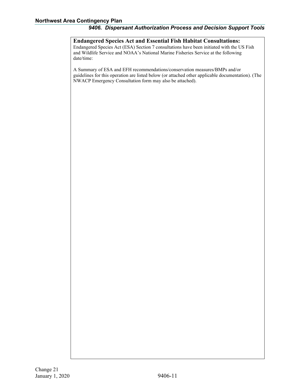**Endangered Species Act and Essential Fish Habitat Consultations:** Endangered Species Act (ESA) Section 7 consultations have been initiated with the US Fish and Wildlife Service and NOAA's National Marine Fisheries Service at the following date/time:

A Summary of ESA and EFH recommendations/conservation measures/BMPs and/or guidelines for this operation are listed below (or attached other applicable documentation). (The NWACP Emergency Consultation form may also be attached).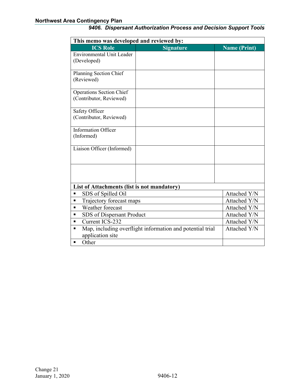| This memo was developed and reviewed by:    |                                                           |                     |  |  |  |  |
|---------------------------------------------|-----------------------------------------------------------|---------------------|--|--|--|--|
| <b>ICS Role</b>                             | <b>Signature</b>                                          | <b>Name (Print)</b> |  |  |  |  |
| <b>Environmental Unit Leader</b>            |                                                           |                     |  |  |  |  |
| (Developed)                                 |                                                           |                     |  |  |  |  |
|                                             |                                                           |                     |  |  |  |  |
| Planning Section Chief<br>(Reviewed)        |                                                           |                     |  |  |  |  |
|                                             |                                                           |                     |  |  |  |  |
| <b>Operations Section Chief</b>             |                                                           |                     |  |  |  |  |
| (Contributor, Reviewed)                     |                                                           |                     |  |  |  |  |
|                                             |                                                           |                     |  |  |  |  |
| Safety Officer                              |                                                           |                     |  |  |  |  |
| (Contributor, Reviewed)                     |                                                           |                     |  |  |  |  |
| <b>Information Officer</b>                  |                                                           |                     |  |  |  |  |
| (Informed)                                  |                                                           |                     |  |  |  |  |
|                                             |                                                           |                     |  |  |  |  |
| Liaison Officer (Informed)                  |                                                           |                     |  |  |  |  |
|                                             |                                                           |                     |  |  |  |  |
|                                             |                                                           |                     |  |  |  |  |
|                                             |                                                           |                     |  |  |  |  |
|                                             |                                                           |                     |  |  |  |  |
| List of Attachments (list is not mandatory) |                                                           |                     |  |  |  |  |
| SDS of Spilled Oil<br>п                     |                                                           | Attached Y/N        |  |  |  |  |
| Trajectory forecast maps<br>٠               |                                                           | Attached Y/N        |  |  |  |  |
| Weather forecast<br>٠                       | Attached Y/N                                              |                     |  |  |  |  |
| SDS of Dispersant Product<br>п              | Attached Y/N                                              |                     |  |  |  |  |
| Current ICS-232<br>$\blacksquare$           | Attached Y/N                                              |                     |  |  |  |  |
| ٠                                           | Map, including overflight information and potential trial |                     |  |  |  |  |
| application site                            |                                                           |                     |  |  |  |  |
| Other<br>٠                                  |                                                           |                     |  |  |  |  |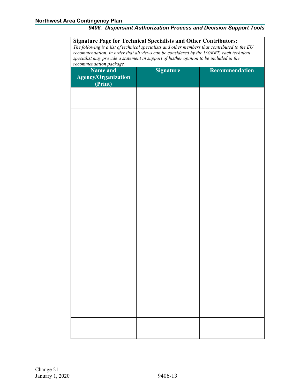| <b>Signature Page for Technical Specialists and Other Contributors:</b><br>The following is a list of technical specialists and other members that contributed to the EU<br>recommendation. In order that all views can be considered by the US/RRT, each technical<br>specialist may provide a statement in support of his/her opinion to be included in the<br>recommendation package. |                  |                       |  |  |  |  |  |
|------------------------------------------------------------------------------------------------------------------------------------------------------------------------------------------------------------------------------------------------------------------------------------------------------------------------------------------------------------------------------------------|------------------|-----------------------|--|--|--|--|--|
| <b>Name and</b><br><b>Agency/Organization</b><br>(Print)                                                                                                                                                                                                                                                                                                                                 | <b>Signature</b> | <b>Recommendation</b> |  |  |  |  |  |
|                                                                                                                                                                                                                                                                                                                                                                                          |                  |                       |  |  |  |  |  |
|                                                                                                                                                                                                                                                                                                                                                                                          |                  |                       |  |  |  |  |  |
|                                                                                                                                                                                                                                                                                                                                                                                          |                  |                       |  |  |  |  |  |
|                                                                                                                                                                                                                                                                                                                                                                                          |                  |                       |  |  |  |  |  |
|                                                                                                                                                                                                                                                                                                                                                                                          |                  |                       |  |  |  |  |  |
|                                                                                                                                                                                                                                                                                                                                                                                          |                  |                       |  |  |  |  |  |
|                                                                                                                                                                                                                                                                                                                                                                                          |                  |                       |  |  |  |  |  |
|                                                                                                                                                                                                                                                                                                                                                                                          |                  |                       |  |  |  |  |  |
|                                                                                                                                                                                                                                                                                                                                                                                          |                  |                       |  |  |  |  |  |
|                                                                                                                                                                                                                                                                                                                                                                                          |                  |                       |  |  |  |  |  |
|                                                                                                                                                                                                                                                                                                                                                                                          |                  |                       |  |  |  |  |  |
|                                                                                                                                                                                                                                                                                                                                                                                          |                  |                       |  |  |  |  |  |
|                                                                                                                                                                                                                                                                                                                                                                                          |                  |                       |  |  |  |  |  |
|                                                                                                                                                                                                                                                                                                                                                                                          |                  |                       |  |  |  |  |  |

Change 21 January 1, 2020 9406-13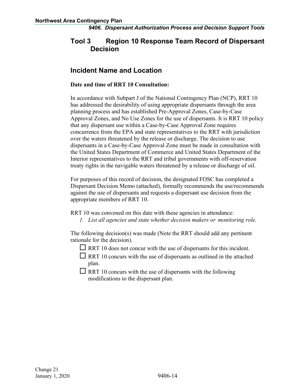## **Tool 3 Region 10 Response Team Record of Dispersant Decision**

## **Incident Name and Location**

#### **Date and time of RRT 10 Consultation:**

In accordance with Subpart J of the National Contingency Plan (NCP), RRT 10 has addressed the desirability of using appropriate dispersants through the area planning process and has established Pre-Approval Zones, Case-by-Case Approval Zones, and No Use Zones for the use of dispersants. It is RRT 10 policy that any dispersant use within a Case-by-Case Approval Zone requires concurrence from the EPA and state representatives to the RRT with jurisdiction over the waters threatened by the release or discharge. The decision to use dispersants in a Case-by-Case Approval Zone must be made in consultation with the United States Department of Commerce and United States Department of the Interior representatives to the RRT and tribal governments with off-reservation treaty rights in the navigable waters threatened by a release or discharge of oil.

For purposes of this record of decision, the designated FOSC has completed a Dispersant Decision Memo (attached), formally recommends the use/recommends against the use of dispersants and requests a dispersant use decision from the appropriate members of RRT 10.

RRT 10 was convened on this date with these agencies in attendance:

*1. List all agencies and state whether decision makers or monitoring role.*

The following decision(s) was made (Note the RRT should add any pertinent rationale for the decision).

- $\Box$  RRT 10 does not concur with the use of dispersants for this incident.
- $\Box$  RRT 10 concurs with the use of dispersants as outlined in the attached plan.
- $\Box$  RRT 10 concurs with the use of dispersants with the following modifications to the dispersant plan.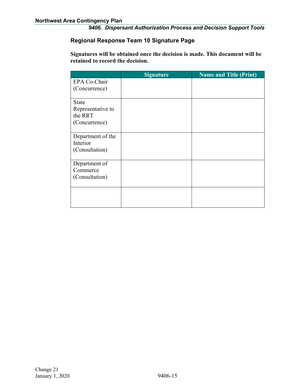#### **Regional Response Team 10 Signature Page**

**Signatures will be obtained once the decision is made. This document will be retained to record the decision.**

|                   | <b>Signature</b> | <b>Name and Title (Print)</b> |
|-------------------|------------------|-------------------------------|
| EPA Co-Chair      |                  |                               |
| (Concurrence)     |                  |                               |
|                   |                  |                               |
| <b>State</b>      |                  |                               |
| Representative to |                  |                               |
| the RRT           |                  |                               |
| (Concurrence)     |                  |                               |
|                   |                  |                               |
| Department of the |                  |                               |
| Interior          |                  |                               |
| (Consultation)    |                  |                               |
|                   |                  |                               |
| Department of     |                  |                               |
| Commerce          |                  |                               |
| (Consultation)    |                  |                               |
|                   |                  |                               |
|                   |                  |                               |
|                   |                  |                               |
|                   |                  |                               |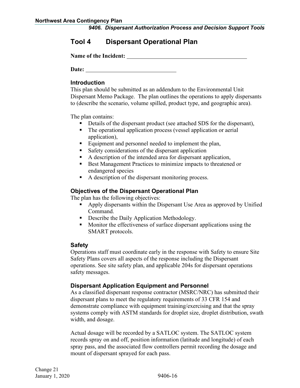## **Tool 4 Dispersant Operational Plan**

**Name of the Incident:**

**Date:**

#### **Introduction**

This plan should be submitted as an addendum to the Environmental Unit Dispersant Memo Package. The plan outlines the operations to apply dispersants to (describe the scenario, volume spilled, product type, and geographic area).

The plan contains:

- Details of the dispersant product (see attached SDS for the dispersant),
- The operational application process (vessel application or aerial application),
- Equipment and personnel needed to implement the plan,
- Safety considerations of the dispersant application
- A description of the intended area for dispersant application,
- Best Management Practices to minimize impacts to threatened or endangered species
- A description of the dispersant monitoring process.

#### **Objectives of the Dispersant Operational Plan**

The plan has the following objectives:

- Apply dispersants within the Dispersant Use Area as approved by Unified Command.
- **•** Describe the Daily Application Methodology.
- **Monitiveness of surface dispersant applications using the** SMART protocols.

#### **Safety**

Operations staff must coordinate early in the response with Safety to ensure Site Safety Plans covers all aspects of the response including the Dispersant operations. See site safety plan, and applicable 204s for dispersant operations safety messages.

#### **Dispersant Application Equipment and Personnel**

As a classified dispersant response contractor (MSRC/NRC) has submitted their dispersant plans to meet the regulatory requirements of 33 CFR 154 and demonstrate compliance with equipment training/exercising and that the spray systems comply with ASTM standards for droplet size, droplet distribution, swath width, and dosage.

Actual dosage will be recorded by a SATLOC system. The SATLOC system records spray on and off, position information (latitude and longitude) of each spray pass, and the associated flow controllers permit recording the dosage and mount of dispersant sprayed for each pass.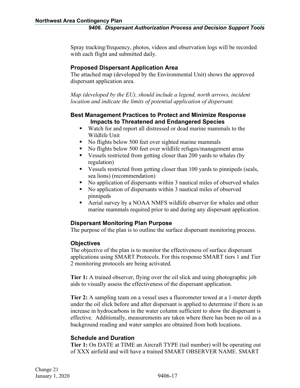Spray tracking/frequency, photos, videos and observation logs will be recorded with each flight and submitted daily.

#### **Proposed Dispersant Application Area**

The attached map (developed by the Environmental Unit) shows the approved dispersant application area.

*Map (developed by the EU), should include a legend, north arrows, incident location and indicate the limits of potential application of dispersant.*

#### **Best Management Practices to Protect and Minimize Response Impacts to Threatened and Endangered Species**

- Watch for and report all distressed or dead marine mammals to the Wildlife Unit
- No flights below 500 feet over sighted marine mammals
- No flights below 500 feet over wildlife refuges/management areas
- Vessels restricted from getting closer than 200 yards to whales (by regulation)
- Vessels restricted from getting closer than 100 yards to pinnipeds (seals, sea lions) (recommendation)
- No application of dispersants within 3 nautical miles of observed whales
- No application of dispersants within 3 nautical miles of observed pinnipeds
- Aerial survey by a NOAA NMFS wildlife observer for whales and other marine mammals required prior to and during any dispersant application.

#### **Dispersant Monitoring Plan Purpose**

The purpose of the plan is to outline the surface dispersant monitoring process.

#### **Objectives**

The objective of the plan is to monitor the effectiveness of surface dispersant applications using SMART Protocols. For this response SMART tiers 1 and Tier 2 monitoring protocols are being activated.

**Tier 1:** A trained observer, flying over the oil slick and using photographic job aids to visually assess the effectiveness of the dispersant application.

**Tier 2:** A sampling team on a vessel uses a fluorometer towed at a 1-meter depth under the oil slick before and after dispersant is applied to determine if there is an increase in hydrocarbons in the water column sufficient to show the dispersant is effective. Additionally, measurements are taken where there has been no oil as a background reading and water samples are obtained from both locations.

#### **Schedule and Duration**

**Tier 1:** On DATE at TIME an Aircraft TYPE (tail number) will be operating out of XXX airfield and will have a trained SMART OBSERVER NAME. SMART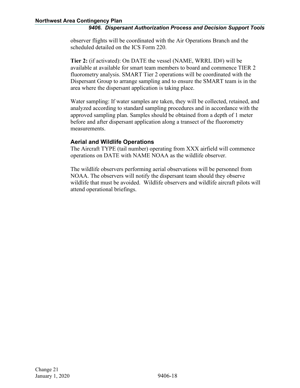observer flights will be coordinated with the Air Operations Branch and the scheduled detailed on the ICS Form 220.

**Tier 2:** (if activated): On DATE the vessel (NAME, WRRL ID#) will be available at available for smart team members to board and commence TIER 2 fluorometry analysis. SMART Tier 2 operations will be coordinated with the Dispersant Group to arrange sampling and to ensure the SMART team is in the area where the dispersant application is taking place.

Water sampling: If water samples are taken, they will be collected, retained, and analyzed according to standard sampling procedures and in accordance with the approved sampling plan. Samples should be obtained from a depth of 1 meter before and after dispersant application along a transect of the fluorometry measurements.

#### **Aerial and Wildlife Operations**

The Aircraft TYPE (tail number) operating from XXX airfield will commence operations on DATE with NAME NOAA as the wildlife observer.

The wildlife observers performing aerial observations will be personnel from NOAA. The observers will notify the dispersant team should they observe wildlife that must be avoided. Wildlife observers and wildlife aircraft pilots will attend operational briefings.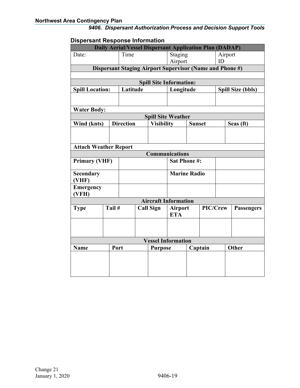#### **Dispersant Response Information**

| <b>Daily Aerial/Vessel Dispersant Application Plan (DADAP)</b> |  |                  |                                                  |                     |                                                          |               |  |                   |                          |           |
|----------------------------------------------------------------|--|------------------|--------------------------------------------------|---------------------|----------------------------------------------------------|---------------|--|-------------------|--------------------------|-----------|
| Date:                                                          |  | Time             |                                                  | Staging             |                                                          | Airport       |  |                   |                          |           |
|                                                                |  |                  |                                                  | Airport             |                                                          | ID            |  |                   |                          |           |
|                                                                |  |                  |                                                  |                     | Dispersant Staging Airport Supervisor (Name and Phone #) |               |  |                   |                          |           |
|                                                                |  |                  |                                                  |                     |                                                          |               |  |                   |                          |           |
|                                                                |  |                  |                                                  |                     | <b>Spill Site Information:</b>                           |               |  |                   |                          |           |
| <b>Spill Location:</b>                                         |  | Latitude         |                                                  |                     | Longitude                                                |               |  |                   | <b>Spill Size (bbls)</b> |           |
|                                                                |  |                  |                                                  |                     |                                                          |               |  |                   |                          |           |
| <b>Water Body:</b>                                             |  |                  |                                                  |                     |                                                          |               |  |                   |                          |           |
|                                                                |  |                  |                                                  |                     | <b>Spill Site Weather</b>                                |               |  |                   |                          |           |
| Wind (knts)                                                    |  | <b>Direction</b> |                                                  | <b>Visibility</b>   |                                                          | <b>Sunset</b> |  |                   |                          | Seas (ft) |
|                                                                |  |                  |                                                  |                     |                                                          |               |  |                   |                          |           |
|                                                                |  |                  |                                                  |                     |                                                          |               |  |                   |                          |           |
| <b>Attach Weather Report</b>                                   |  |                  |                                                  |                     |                                                          |               |  |                   |                          |           |
|                                                                |  |                  |                                                  |                     | <b>Communications</b>                                    |               |  |                   |                          |           |
| <b>Primary (VHF)</b>                                           |  |                  |                                                  |                     | <b>Sat Phone #:</b>                                      |               |  |                   |                          |           |
| <b>Secondary</b><br>(VHF)                                      |  |                  |                                                  | <b>Marine Radio</b> |                                                          |               |  |                   |                          |           |
| <b>Emergency</b>                                               |  |                  |                                                  |                     |                                                          |               |  |                   |                          |           |
| (VFH)                                                          |  |                  |                                                  |                     |                                                          |               |  |                   |                          |           |
|                                                                |  |                  |                                                  |                     | <b>Aircraft Information</b>                              |               |  |                   |                          |           |
| Tail #<br><b>Type</b>                                          |  |                  | <b>Call Sign</b><br><b>Airport</b><br><b>ETA</b> |                     | PIC/Crew                                                 |               |  | <b>Passengers</b> |                          |           |
|                                                                |  |                  |                                                  |                     |                                                          |               |  |                   |                          |           |
|                                                                |  |                  |                                                  |                     |                                                          |               |  |                   |                          |           |
|                                                                |  |                  |                                                  |                     | <b>Vessel Information</b>                                |               |  |                   |                          |           |
| Port<br><b>Name</b>                                            |  |                  | <b>Purpose</b>                                   |                     | Captain                                                  |               |  | Other             |                          |           |
|                                                                |  |                  |                                                  |                     |                                                          |               |  |                   |                          |           |
|                                                                |  |                  |                                                  |                     |                                                          |               |  |                   |                          |           |
|                                                                |  |                  |                                                  |                     |                                                          |               |  |                   |                          |           |
|                                                                |  |                  |                                                  |                     |                                                          |               |  |                   |                          |           |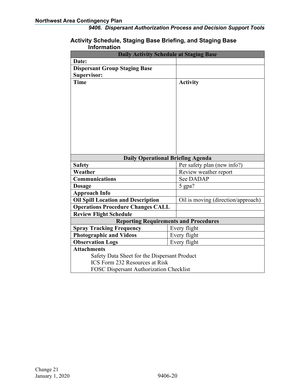#### **Activity Schedule, Staging Base Briefing, and Staging Base Information**

| <b>Daily Activity Schedule at Staging Base</b> |                                          |  |  |
|------------------------------------------------|------------------------------------------|--|--|
| Date:                                          |                                          |  |  |
| <b>Dispersant Group Staging Base</b>           |                                          |  |  |
| <b>Supervisor:</b>                             |                                          |  |  |
| <b>Time</b>                                    | <b>Activity</b>                          |  |  |
|                                                |                                          |  |  |
|                                                |                                          |  |  |
|                                                |                                          |  |  |
|                                                |                                          |  |  |
|                                                |                                          |  |  |
|                                                |                                          |  |  |
|                                                |                                          |  |  |
|                                                |                                          |  |  |
|                                                |                                          |  |  |
|                                                |                                          |  |  |
|                                                | <b>Daily Operational Briefing Agenda</b> |  |  |
| <b>Safety</b>                                  | Per safety plan (new info?)              |  |  |
| Weather                                        | Review weather report                    |  |  |
| <b>Communications</b>                          | See DADAP                                |  |  |
| <b>Dosage</b>                                  | 5 gpa?                                   |  |  |
| <b>Approach Info</b>                           |                                          |  |  |
| <b>Oil Spill Location and Description</b>      | Oil is moving (direction/approach)       |  |  |
| <b>Operations Procedure Changes CALL</b>       |                                          |  |  |
| <b>Review Flight Schedule</b>                  |                                          |  |  |
| <b>Reporting Requirements and Procedures</b>   |                                          |  |  |
| <b>Spray Tracking Frequency</b>                | Every flight                             |  |  |
| <b>Photographic and Videos</b>                 | Every flight                             |  |  |
| <b>Observation Logs</b>                        | Every flight                             |  |  |
| <b>Attachments</b>                             |                                          |  |  |
| Safety Data Sheet for the Dispersant Product   |                                          |  |  |
| <b>ICS</b> Form 232 Resources at Risk          |                                          |  |  |
| <b>FOSC Dispersant Authorization Checklist</b> |                                          |  |  |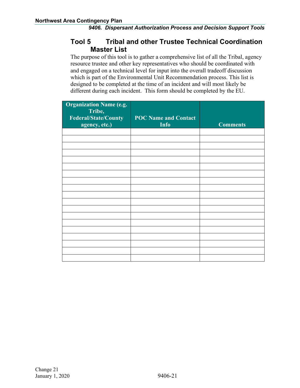## **Tool 5 Tribal and other Trustee Technical Coordination Master List**

The purpose of this tool is to gather a comprehensive list of all the Tribal, agency resource trustee and other key representatives who should be coordinated with and engaged on a technical level for input into the overall tradeoff discussion which is part of the Environmental Unit Recommendation process. This list is designed to be completed at the time of an incident and will most likely be different during each incident. This form should be completed by the EU.

| <b>Organization Name (e.g.</b><br>Tribe,<br><b>Federal/State/County</b><br>agency, etc.) | <b>POC Name and Contact</b><br><b>Info</b> | <b>Comments</b> |
|------------------------------------------------------------------------------------------|--------------------------------------------|-----------------|
|                                                                                          |                                            |                 |
|                                                                                          |                                            |                 |
|                                                                                          |                                            |                 |
|                                                                                          |                                            |                 |
|                                                                                          |                                            |                 |
|                                                                                          |                                            |                 |
|                                                                                          |                                            |                 |
|                                                                                          |                                            |                 |
|                                                                                          |                                            |                 |
|                                                                                          |                                            |                 |
|                                                                                          |                                            |                 |
|                                                                                          |                                            |                 |
|                                                                                          |                                            |                 |
|                                                                                          |                                            |                 |
|                                                                                          |                                            |                 |
|                                                                                          |                                            |                 |
|                                                                                          |                                            |                 |
|                                                                                          |                                            |                 |
|                                                                                          |                                            |                 |